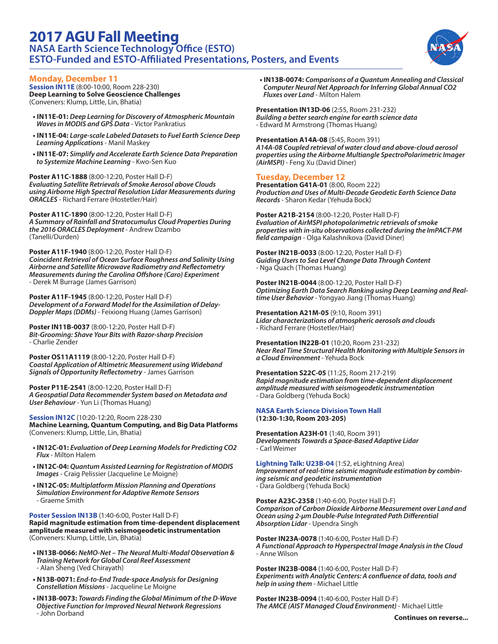# **2017 AGU Fall Meeting NASA Earth Science Technology Office (ESTO) ESTO-Funded and ESTO-Affiliated Presentations, Posters, and Events**



## **Monday, December 11**

**Session IN11E** (8:00-10:00, Room 228-230) **Deep Learning to Solve Geoscience Challenges** (Conveners: Klump, Little, Lin, Bhatia)

- **IN11E-01:** *Deep Learning for Discovery of Atmospheric Mountain Waves in MODIS and GPS Data* - Victor Pankratius
- **IN11E-04:** *Large-scale Labeled Datasets to Fuel Earth Science Deep Learning Applications* - Manil Maskey
- **IN11E-07:** *Simplify and Accelerate Earth Science Data Preparation to Systemize Machine Learning* - Kwo-Sen Kuo

**Poster A11C-1888** (8:00-12:20, Poster Hall D-F) *Evaluating Satellite Retrievals of Smoke Aerosol above Clouds using Airborne High Spectral Resolution Lidar Measurements during ORACLES* - Richard Ferrare (Hostetler/Hair)

**Poster A11C-1890** (8:00-12:20, Poster Hall D-F) *A Summary of Rainfall and Stratocumulus Cloud Properties During the 2016 ORACLES Deployment* - Andrew Dzambo (Tanelli/Durden)

**Poster A11F-1940** (8:00-12:20, Poster Hall D-F) *Coincident Retrieval of Ocean Surface Roughness and Salinity Using Airborne and Satellite Microwave Radiometry and Reflectometry Measurements during the Carolina Offshore (Caro) Experiment* - Derek M Burrage (James Garrison)

**Poster A11F-1945** (8:00-12:20, Poster Hall D-F) *Development of a Forward Model for the Assimilation of Delay-Doppler Maps (DDMs)* - Feixiong Huang (James Garrison)

**Poster IN11B-0037** (8:00-12:20, Poster Hall D-F) *Bit-Grooming: Shave Your Bits with Razor-sharp Precision* - Charlie Zender

**Poster OS11A1119** (8:00-12:20, Poster Hall D-F) *Coastal Application of Altimetric Measurement using Wideband Signals of Opportunity Reflectometry* - James Garrison

**Poster P11E-2541** (8:00-12:20, Poster Hall D-F) *A Geospatial Data Recommender System based on Metadata and User Behaviour* - Yun Li (Thomas Huang)

**Session IN12C** (10:20-12:20, Room 228-230 **Machine Learning, Quantum Computing, and Big Data Platforms** (Conveners: Klump, Little, Lin, Bhatia)

- **IN12C-01:** *Evaluation of Deep Learning Models for Predicting CO2 Flux* - Milton Halem
- **IN12C-04:** *Quantum Assisted Learning for Registration of MODIS Images* - Craig Pelissier (Jacqueline Le Moigne)
- **IN12C-05:** *Multiplatform Mission Planning and Operations Simulation Environment for Adaptive Remote Sensors*  - Graeme Smith

**Poster Session IN13B** (1:40-6:00, Poster Hall D-F)

**Rapid magnitude estimation from time-dependent displacement amplitude measured with seismogeodetic instrumentation** (Conveners: Klump, Little, Lin, Bhatia)

- **IN13B-0066:** *NeMO-Net The Neural Multi-Modal Observation & Training Network for Global Coral Reef Assessment* - Alan Sheng (Ved Chirayath)
- **N13B-0071:** *End-to-End Trade-space Analysis for Designing Constellation Missions* - Jacqueline Le Moigne
- **IN13B-0073:** *Towards Finding the Global Minimum of the D-Wave Objective Function for Improved Neural Network Regressions* - John Dorband

**• IN13B-0074:** *Comparisons of a Quantum Annealing and Classical Computer Neural Net Approach for Inferring Global Annual CO2 Fluxes over Land* - Milton Halem

**Presentation IN13D-06** (2:55, Room 231-232) *Building a better search engine for earth science data* - Edward M Armstrong (Thomas Huang)

**Presentation A14A-08** (5:45, Room 391) *A14A-08 Coupled retrieval of water cloud and above-cloud aerosol properties using the Airborne Multiangle SpectroPolarimetric Imager (AirMSPI)* - Feng Xu (David Diner)

# **Tuesday, December 12**

**Presentation G41A-01** (8:00, Room 222) *Production and Uses of Multi-Decade Geodetic Earth Science Data Records* - Sharon Kedar (Yehuda Bock)

**Poster A21B-2154** (8:00-12:20, Poster Hall D-F) *Evaluation of AirMSPI photopolarimetric retrievals of smoke properties with in-situ observations collected during the ImPACT-PM field campaign* - Olga Kalashnikova (David Diner)

**Poster IN21B-0033** (8:00-12:20, Poster Hall D-F) *Guiding Users to Sea Level Change Data Through Content* - Nga Quach (Thomas Huang)

**Poster IN21B-0044** (8:00-12:20, Poster Hall D-F) *Optimizing Earth Data Search Ranking using Deep Learning and Realtime User Behavior* - Yongyao Jiang (Thomas Huang)

**Presentation A21M-05** (9:10, Room 391) *Lidar characterizations of atmospheric aerosols and clouds* - Richard Ferrare (Hostetler/Hair)

**Presentation IN22B-01** (10:20, Room 231-232) *Near Real Time Structural Health Monitoring with Multiple Sensors in a Cloud Environment* - Yehuda Bock

**Presentation S22C-05** (11:25, Room 217-219) *Rapid magnitude estimation from time-dependent displacement amplitude measured with seismogeodetic instrumentation* - Dara Goldberg (Yehuda Bock)

#### **NASA Earth Science Division Town Hall (12:30-1:30, Room 203-205)**

**Presentation A23H-01** (1:40, Room 391) *Developments Towards a Space-Based Adaptive Lidar*  - Carl Weimer

**Lightning Talk: U23B-04** (1:52, eLightning Area) *Improvement of real-time seismic magnitude estimation by combining seismic and geodetic instrumentation* - Dara Goldberg (Yehuda Bock)

**Poster A23C-2358** (1:40-6:00, Poster Hall D-F) *Comparison of Carbon Dioxide Airborne Measurement over Land and Ocean using 2-μm Double-Pulse Integrated Path Differential Absorption Lidar* - Upendra Singh

**Poster IN23A-0078** (1:40-6:00, Poster Hall D-F) *A Functional Approach to Hyperspectral Image Analysis in the Cloud* - Anne Wilson

**Poster IN23B-0084** (1:40-6:00, Poster Hall D-F) *Experiments with Analytic Centers: A confluence of data, tools and help in using them* - Michael Little

**Poster IN23B-0094** (1:40-6:00, Poster Hall D-F) *The AMCE (AIST Managed Cloud Environment)* - Michael Little

**Continues on reverse...**